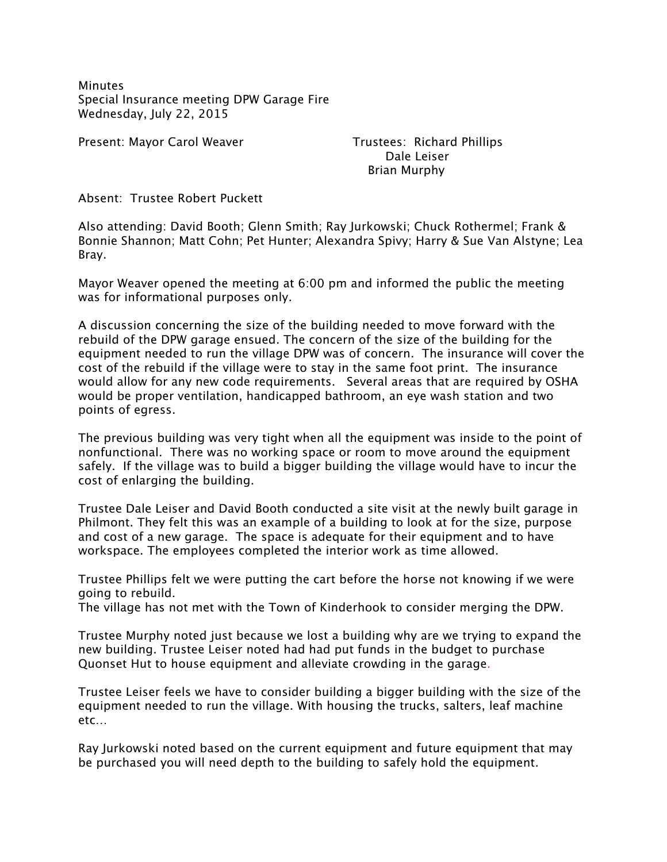**Minutes** Special Insurance meeting DPW Garage Fire Wednesday, July 22, 2015

Present: Mayor Carol Weaver Trustees: Richard Phillips

 Dale Leiser Brian Murphy

Absent: Trustee Robert Puckett

Also attending: David Booth; Glenn Smith; Ray Jurkowski; Chuck Rothermel; Frank & Bonnie Shannon; Matt Cohn; Pet Hunter; Alexandra Spivy; Harry & Sue Van Alstyne; Lea Bray.

Mayor Weaver opened the meeting at 6:00 pm and informed the public the meeting was for informational purposes only.

A discussion concerning the size of the building needed to move forward with the rebuild of the DPW garage ensued. The concern of the size of the building for the equipment needed to run the village DPW was of concern. The insurance will cover the cost of the rebuild if the village were to stay in the same foot print. The insurance would allow for any new code requirements. Several areas that are required by OSHA would be proper ventilation, handicapped bathroom, an eye wash station and two points of egress.

The previous building was very tight when all the equipment was inside to the point of nonfunctional. There was no working space or room to move around the equipment safely. If the village was to build a bigger building the village would have to incur the cost of enlarging the building.

Trustee Dale Leiser and David Booth conducted a site visit at the newly built garage in Philmont. They felt this was an example of a building to look at for the size, purpose and cost of a new garage. The space is adequate for their equipment and to have workspace. The employees completed the interior work as time allowed.

Trustee Phillips felt we were putting the cart before the horse not knowing if we were going to rebuild.

The village has not met with the Town of Kinderhook to consider merging the DPW.

Trustee Murphy noted just because we lost a building why are we trying to expand the new building. Trustee Leiser noted had had put funds in the budget to purchase Quonset Hut to house equipment and alleviate crowding in the garage.

Trustee Leiser feels we have to consider building a bigger building with the size of the equipment needed to run the village. With housing the trucks, salters, leaf machine etc…

Ray Jurkowski noted based on the current equipment and future equipment that may be purchased you will need depth to the building to safely hold the equipment.